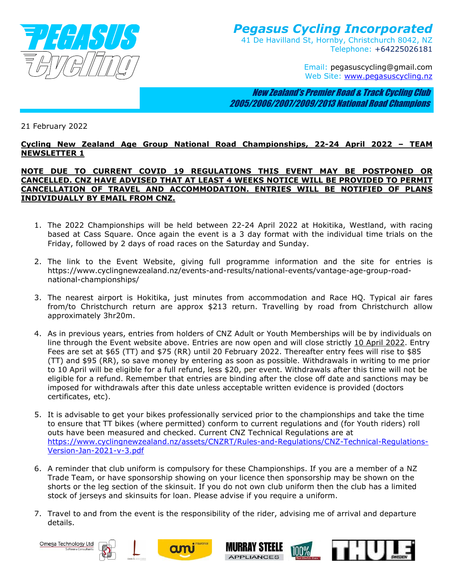

## *Pegasus Cycling Incorporated*  41 De Havilland St, Hornby, Christchurch 8042, NZ Telephone: +64225026181

Email: pegasuscycling@gmail.com Web Site: www.pegasuscycling.nz

 New Zealand's Premier Road & Track Cycling Club 2005/2006/2007/2009/2013 National Road Champions

## 21 February 2022

## **Cycling New Zealand Age Group National Road Championships, 22-24 April 2022 – TEAM NEWSLETTER 1**

## **NOTE DUE TO CURRENT COVID 19 REGULATIONS THIS EVENT MAY BE POSTPONED OR CANCELLED. CNZ HAVE ADVISED THAT AT LEAST 4 WEEKS NOTICE WILL BE PROVIDED TO PERMIT CANCELLATION OF TRAVEL AND ACCOMMODATION. ENTRIES WILL BE NOTIFIED OF PLANS INDIVIDUALLY BY EMAIL FROM CNZ.**

- 1. The 2022 Championships will be held between 22-24 April 2022 at Hokitika, Westland, with racing based at Cass Square. Once again the event is a 3 day format with the individual time trials on the Friday, followed by 2 days of road races on the Saturday and Sunday.
- 2. The link to the Event Website, giving full programme information and the site for entries is https://www.cyclingnewzealand.nz/events-and-results/national-events/vantage-age-group-roadnational-championships/
- 3. The nearest airport is Hokitika, just minutes from accommodation and Race HQ. Typical air fares from/to Christchurch return are approx \$213 return. Travelling by road from Christchurch allow approximately 3hr20m.
- 4. As in previous years, entries from holders of CNZ Adult or Youth Memberships will be by individuals on line through the Event website above. Entries are now open and will close strictly 10 April 2022. Entry Fees are set at \$65 (TT) and \$75 (RR) until 20 February 2022. Thereafter entry fees will rise to \$85 (TT) and \$95 (RR), so save money by entering as soon as possible. Withdrawals in writing to me prior to 10 April will be eligible for a full refund, less \$20, per event. Withdrawals after this time will not be eligible for a refund. Remember that entries are binding after the close off date and sanctions may be imposed for withdrawals after this date unless acceptable written evidence is provided (doctors certificates, etc).
- 5. It is advisable to get your bikes professionally serviced prior to the championships and take the time to ensure that TT bikes (where permitted) conform to current regulations and (for Youth riders) roll outs have been measured and checked. Current CNZ Technical Regulations are at https://www.cyclingnewzealand.nz/assets/CNZRT/Rules-and-Regulations/CNZ-Technical-Regulations-Version-Jan-2021-v-3.pdf
- 6. A reminder that club uniform is compulsory for these Championships. If you are a member of a NZ Trade Team, or have sponsorship showing on your licence then sponsorship may be shown on the shorts or the leg section of the skinsuit. If you do not own club uniform then the club has a limited stock of jerseys and skinsuits for loan. Please advise if you require a uniform.
- 7. Travel to and from the event is the responsibility of the rider, advising me of arrival and departure details.

Omega Technology Ltd